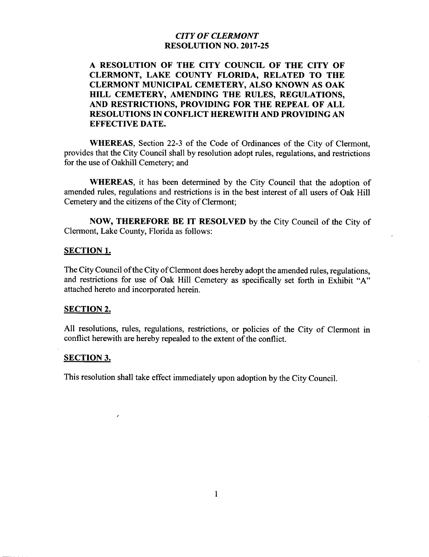#### CITY OF CLERMONT RESOLUTION NO. 2017-25

# A RESOLUTION OF THE CITY COUNCIL OF THE CITY OF CLERMONT, LAKE COUNTY FLORIDA, RELATED TO THE CLERMONT MUNICIPAL CEMETERY, ALSO KNOWN AS OAK HILL CEMETERY, AMENDING THE RULES, REGULATIONS, AND RESTRICTIONS, PROVIDING FOR THE REPEAL OF ALL RESOLUTIONS IN CONFLICT HEREWITH AND PROVIDING AN EFFECTIVE DATE.

WHEREAS, Section 22-3 of the Code of Ordinances of the City of Clermont, provides that the City Council shall by resolution adopt rules, regulations, and restrictions for the use of Oakhill Cemetery; and

WHEREAS, it has been determined by the City Council that the adoption of amended rules, regulations and restrictions is in the best interest of all users of Oak Hill Cemetery and the citizens of the City of Clermont;

NOW, THEREFORE BE IT RESOLVED by the City Council of the City of Clermont, Lake County, Florida as follows:

#### SECTION 1.

The City Council of the City of Clermont does hereby adopt the amended rules, regulations, and restrictions for use of Oak Hill Cemetery as specifically set forth in Exhibit "A" attached hereto and incorporated herein.

#### SECTION 2.

All resolutions, rules, regulations, restrictions, or policies of the City of Clermont in conflict herewith are hereby repealed to the extent of the conflict.

#### SECTION 3.

This resolution shall take effect immediately upon adoption by the City Council.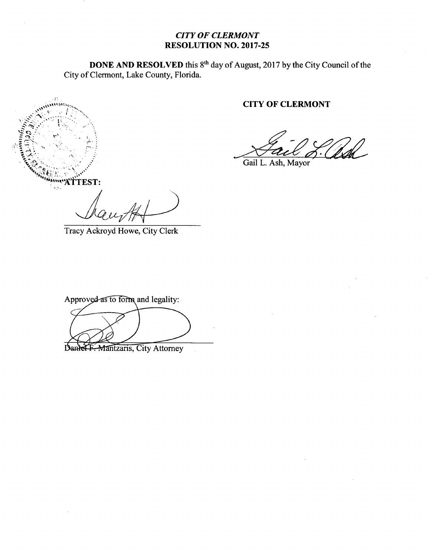# CITY OF CLERMONT RESOLUTION NO. 2017-25

**DONE AND RESOLVED** this 8<sup>th</sup> day of August, 2017 by the City Council of the City of Clermont, Lake County, Florida.

# CITY OF CLERMONT

Gail L. Ash, Mayor

ti k"ATTEST:

Tracy Ackroyd Howe, City Clerk

Approved as to form and legality: **Examing Second Liquide Contracts** 

City Attorney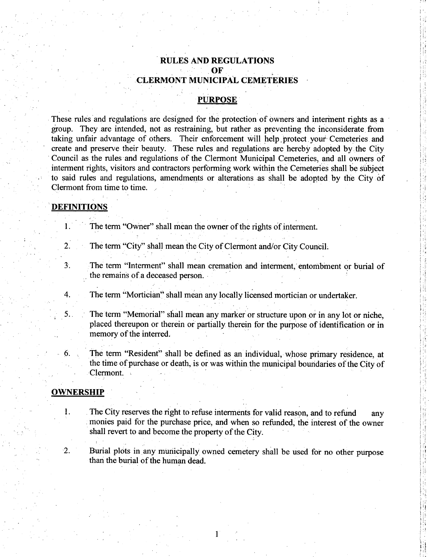### RULES AND REGULATIONS OF CLERMONT MUNICIPAL CEMETERIES

#### **PURPOSE**

These rules and regulations are designed for the protection of owners and interment rights as <sup>a</sup> group. They are intended, not as restraining, but rather as preventing the inconsiderate from taking unfair advantage of others. Their enforcement will help, protect your Cemeteries and create and preserve their beauty. These rules and regulations are hereby adopted by the City Council as the rules and regulations of the Clermont Municipal Cemeteries, and all owners of interment rights, visitors and contractors performing work within the Cemeteries shall be subject to said rules and regulations, amendments or alterations as shall be adopted by the City of Clermont from time to time.

#### DEFINITIONS

1. The term "Owner" shall mean the owner of the rights of interment.

2. The term "City" shall mean the City of Clermont and/or City Council.

3. The term "Interment" shall mean cremation and interment, entombment or burial of the remains of a deceased person.

4. The term "Mortician" shall mean any locally licensed mortician or undertaker.

5. The term "Memorial" shall mean any marker or structure upon or in any lot or niche, placed thereupon or therein or partially therein for the purpose of identification or in memory of the interred.

6. The term " Resident" shall be defined as an individual, whose primary residence, at the time of purchase or death, is or was within the municipal boundaries of the City of Clermont.

#### **OWNERSHIP**

- 1. The City reserves the right to refuse interments for valid reason, and to refund any monies paid for the purchase price, and when so refunded, the interest of the owner shall revert to and become the property of the City.
- 2. Burial plots in any municipally owned cemetery shall be used for no other purpose than the burial of the human dead.

I <sup>I</sup>

11i I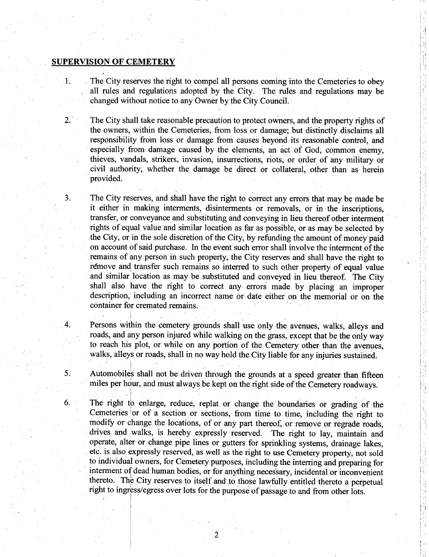#### SUPERVISION OF CEMETERY

1. The City reserves the right to compel all persons coming into the Cemeteries to obey all rules and regulations adopted by the City. The rules and regulations may be changed without notice to any Owner by the City Council.

2. The City shall take reasonable precaution to protect owners, and the property rights of the owners, within the Cemeteries, from loss or damage; but distinctly disclaims all responsibility from loss or damage from causes beyond its reasonable control, and especially from damage caused by the elements, an act of God; common enemy, thieves, vandals, strikers, invasion, insurrections, riots, or order of any military or civil authority, whether the damage be direct or collateral, other than as herein provided.

3. The City reserves, and shall have the right to correct any errors that may be made be it either in making interments, disinterments or removals, or in' the inscriptions, transfer, or conveyance and substituting and conveying in lieu thereof other interment rights of equal value and similar location as far as possible, or as may be selected by the City, or in the sole discretion of the City, by refunding the amount of money paid on account of said purchase. In the event such error shall involve the interment of the remains of any person in such property, the City reserves and shall have the right to remove and transfer such remains so interred to such other property of equal value and similar location as may be substituted and conveyed in lieu thereof. The City shall also have the right to correct any errors made by placing an improper description, including an incorrect name or date either on the memorial or on the container for cremated remains.

4. Persons within the cemetery grounds shall use only the avenues, walks, alleys and roads, and any person injured while walking on the grass, except that be the only way to reach his plot, or while on any portion of the Cemetery other than the avenues, walks, alleys or roads, shall in no way hold the City liable for any injuries sustained.

5. Automobiles shall not be driven through the grounds at a speed greater than fifteen miles per hour, and must always be kept on the right side of the Cemetery roadways.

6. The right to enlarge, reduce, replat, or change the boundaries or grading of the Cemeteries or of a section or sections, from time to time, including the right to modify or change the locations, of or any part thereof, or remove or regrade roads, drives and walks, is hereby expressly reserved. The right to lay, maintain and operate, alter or change pipe lines or gutters for sprinkling systems, drainage lakes, etc. is also expressly reserved, as well as the right to use Cemetery property, not sold to individual owners, for Cemetery purposes, including the interring and preparing for interment of dead human bodies, or for anything necessary, incidental or inconvenient thereto. The City reserves to itself and to those lawfully entitled thereto <sup>a</sup> perpetual right to ingress/ egress over lots for the purpose of passage to and from other lots.

Il'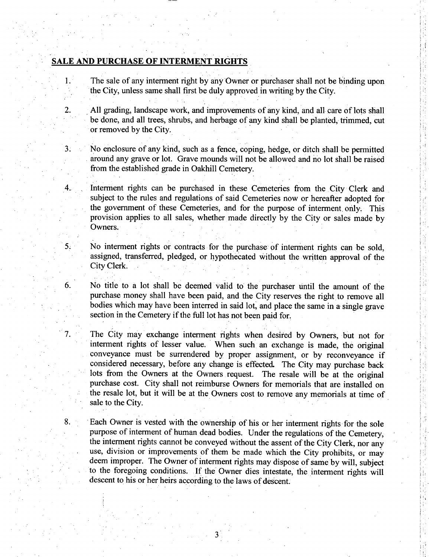# SALE AND PURCHASE OF INTERMENT RIGHTS

1. The sale of any interment right by any Owner or purchaser shall not be binding upon the City, unless same shall first be duly approved in writing by the City.

2. All grading, landscape work, and improvements of any kind, and all care of lots shall <sup>j</sup> be done, and all trees, shrubs, and herbage of any kind shall be planted, trimmed, cut or removed by the City.

3. No enclosure of any kind, such as <sup>a</sup> fence, coping, hedge, or ditch shall be permitted around any grave or lot. Grave mounds will not be allowed and no lot shall be raised from the established grade in Oakhill Cemetery.

4.. Interment rights can be purchased in these Cemeteries from the City Clerk and subject to the rules and regulations of said Cemeteries now or hereafter adopted for the government of these Cemeteries, and for the purpose of interment, only. This provision applies to all sales, whether made directly by the City or sales made by Owners.

5. No interment rights or contracts for the purchase of interment rights can be sold, assigned, transferred, pledged, or hypothecated without the written approval of the City Clerk.

6. No title to <sup>a</sup> lot shall be deemed valid to the purchaser until the amount of the purchase money shall have been paid, and the City reserves the right to remove all bodies which may have been interred in said lot, and place the same in a single grave section in the Cemetery if the full lot has not been paid for.

7. The City may exchange interment rights when desired by Owners, but not for interment rights of lesser value. When such an exchange is made, the original conveyance must be surrendered by proper assignment, or by reconveyance if considered necessary, before any change is effected. The City may purchase back lots from the Owners at the Owners. request. The resale will be at the original purchase cost. City shall not reimburse Owners for memorials that are installed on the resale lot, but it will be at the Owners cost to remove any memorials at time of sale to the City.

8. Each Owner is vested with the ownership of his or her interment rights for the sole purpose of interment of human dead bodies. Under the regulations of the Cemetery, the interment rights cannot be conveyed without the assent of the City Clerk, nor any use, division or improvements of them be made which the City prohibits, or may deem improper. The Owner of interment rights may dispose of same by will, subject to the foregoing conditions. If the Owner dies intestate, the interment rights will descent to his or her heirs according to the laws of descent. Figure 1. The resale will be at the original<br>
urse Owners for memorials that are installed on<br>
Dumers cost to remove any memorials at time of<br>
ership of his or her interment rights for the sole<br>
bodies. Under the regulatio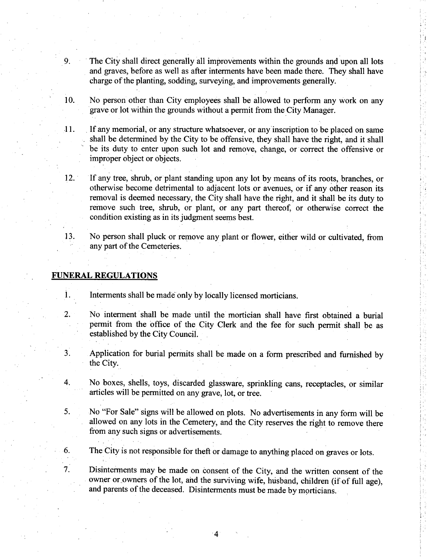- 9. The City shall direct generally all improvements within the grounds and upon all lots and graves, before as well as after interments have been made there. They shall have charge of the planting, sodding, surveying, and improvements generally.
- 10. No person other than City employees shall be allowed to perform any work on any grave or lot within the grounds without <sup>a</sup> permit from the City Manager.
- 11. If any memorial, or any structure whatsoever, or any inscription to be placed on same shall be determined by the City to be offensive, they shall have the right, and it shall be its duty to enter upon such lot and remove, change, or correct the offensive or improper object or objects.
- 12. If any tree, shrub, or plant standing upon any lot by means of its roots, branches, or otherwise become detrimental to adjacent lots or avenues, or if any other reason its removal is deemed necessary, the City shall have the right, and it shall be its duty to remove such tree, shrub, or plant, or any part thereof, or otherwise correct the condition existing as in its judgment seems best.
- 13. No person shall pluck or remove any plant or flower, either wild or cultivated, from any part of the Cemeteries.

#### FUNERAL REGULATIONS

- 1. Interments shall be made only by locally licensed morticians.
- 2. No interment shall be made until the mortician shall have first obtained a burial permit from the office of the City Clerk and the fee for such permit shall be as established by the City Council.
- 3. Application for burial permits shall be made on <sup>a</sup> form prescribed and furnished by the City.
- 4. No boxes, shells, toys, discarded glassware, sprinkling cans, receptacles, or similar articles will be permitted on any grave, lot, or tree.
- 5. No " For Sale" signs will be allowed on plots. No advertisements in any form will be allowed on any lots in the Cemetery, and the City reserves the right to remove there from any such signs or advertisements.
- 6. The City is not responsible for theft or damage to anything placed on graves or lots.

7. Disinterments may be made on consent of the City, and the written consent of the owner or owners of the lot, and the surviving wife, husband, children (if of full age), and parents of the deceased. Disinterments must be made by morticians.

4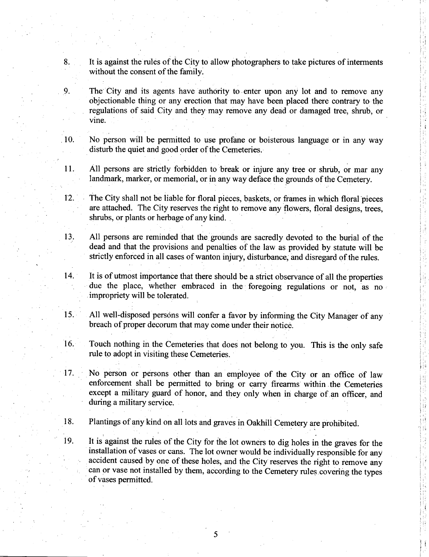- 8. It is against the rules of the City to allow photographers to take pictures of interments without the consent of the family.
- 9. The City and its agents have authority to enter upon any lot and to remove any objectionable thing or any erection that may have been placed there contrary to the regulations of said City and they may remove any dead or damaged tree, shrub, or vine.
- 10. No person will be permitted to use profane or boisterous language or in any way disturb the quiet and good order of the Cemeteries.
- 11. All persons are strictly forbidden to break or injure any tree or shrub, or mar any landmark, marker, or memorial, or in any way deface the grounds of the Cemetery.
- 12. The City shall not be liable for floral pieces, baskets, or frames in which floral pieces are attached. The City reserves the right to remove any flowers, floral designs, trees, shrubs, or plants or herbage of any kind.
- 13. All persons are reminded that the grounds are sacredly devoted to the burial of the dead and that the provisions and penalties of the law as provided by statute will be strictly enforced in all cases of wanton injury, disturbance, and disregard of the rules.
- 14. It is of utmost importance that there should be <sup>a</sup> strict observance of all the properties due the place, whether embraced in the foregoing regulations or not, as no impropriety will be tolerated.
- 15. All well-disposed persons will confer <sup>a</sup> favor by informing the City Manager of any breach of proper decorum that may come under their notice.
- 16. Touch nothing in the Cemeteries that does not belong to you. This is the only safe rule to adopt in visiting these Cemeteries.
- 17. No person or persons other than an employee of the City or an office of law enforcement shall be permitted to bring or carry firearms within the Cemeteries except a military guard of honor, and they only when in charge of an officer, and during <sup>a</sup> military service.
- 18. Plantings of any kind on all lots and graves in Oakhill Cemetery are prohibited.
- 19. It is against the rules of the City for the lot owners to dig holes in the graves for the installation of vases or cans. The lot owner would be individually responsible for any accident caused by one of these holes, and the City reserves the right to remove any can or vase not installed by them, according to the Cemetery rules covering the types of vases permitted.

5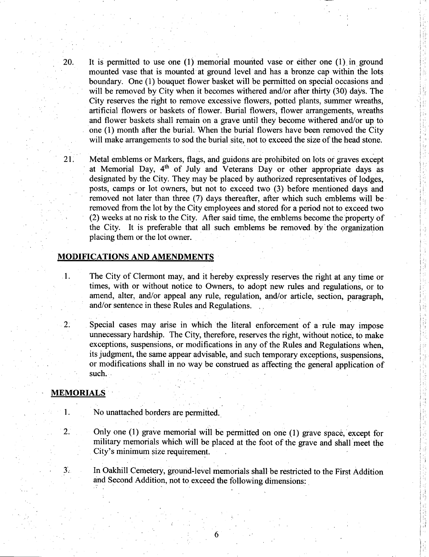20. It is permitted to use one  $(1)$  memorial mounted vase or either one  $(1)$  in ground mounted vase that is mounted at ground level and has a bronze cap within the lots boundary. One ( 1) bouquet flower basket will be permitted on special occasions and will be removed by City when it becomes withered and/or after thirty (30) days. The City reserves the right to remove excessive flowers, potted plants, summer wreaths, artificial flowers or baskets of flower. Burial flowers, flower arrangements, wreaths and flower baskets shall remain on a grave until they become withered and/or up to one (1) month after the burial. When the burial flowers have been removed the City will make arrangements to sod the burial site, not to exceed the size of the head stone.

ļ.

iI

21. Metal emblems or Markers, flags, and guidons are prohibited on lots or graves except at Memorial Day,  $4<sup>th</sup>$  of July and Veterans Day or other appropriate days as designated by the City. They may be placed by authorized representatives of lodges, posts, camps or lot owners, but not to exceed two (3) before mentioned days and removed not later than three (7) days thereafter, after which such emblems will be removed from the lot by the City employees and stored for <sup>a</sup> period not to exceed two 2) weeks at no risk to the City. After said time, the emblems become the property of the City. It is preferable that all such emblems be removed by the organization placing them or the lot owner.

#### MODIFICATIONS AND AMENDMENTS

1. The City of Clermont may, and it hereby expressly reserves the right at any time or times, with or without notice to Owners, to adopt new rules and regulations, or to amend, alter, and/or appeal any rule, regulation, and/or article, section, paragraph, and/or sentence in these Rules and Regulations.

2: . Special cases may arise in which the literal enforcement of <sup>a</sup> rule may impose unnecessary hardship. The City, therefore, reserves the right, without notice, to make exceptions, suspensions, or modifications in any of the Rules and Regulations when, its judgment, the same appear advisable, and such temporary exceptions, suspensions, or modifications shall in no way be construed as affecting the general application of such. .

# MEMORIALS

- 1. No unattached borders are permitted.
- 2. Only one (1) grave memorial will be permitted on one (1) grave space, except for military memorials which will be placed at the foot of the grave and shall meet the City's minimum size requirement.

3. In Oakhill Cemetery, ground-level memorials shall be restricted to the First Addition and Second Addition, not to exceed the following dimensions:

6